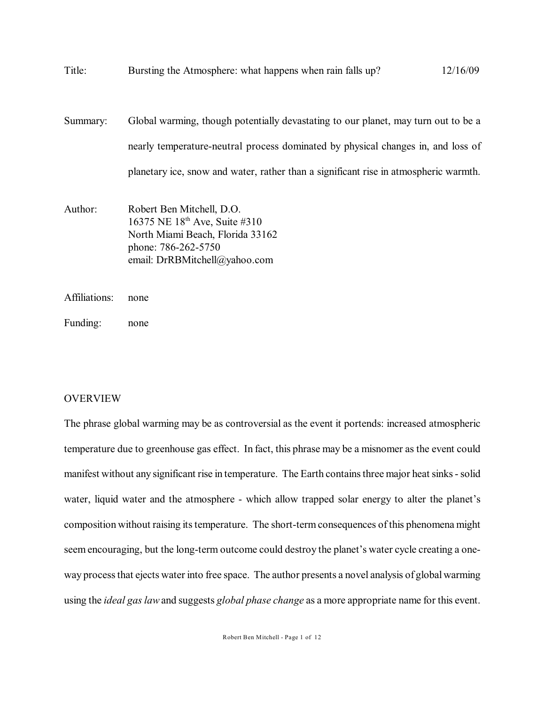| Title:        | Bursting the Atmosphere: what happens when rain falls up?                                                                                                                                                                                                      | 12/16/09 |
|---------------|----------------------------------------------------------------------------------------------------------------------------------------------------------------------------------------------------------------------------------------------------------------|----------|
| Summary:      | Global warming, though potentially devastating to our planet, may turn out to be a<br>nearly temperature-neutral process dominated by physical changes in, and loss of<br>planetary ice, snow and water, rather than a significant rise in atmospheric warmth. |          |
| Author:       | Robert Ben Mitchell, D.O.<br>16375 NE 18 <sup>th</sup> Ave, Suite #310<br>North Miami Beach, Florida 33162<br>phone: 786-262-5750<br>email: DrRBMitchell@yahoo.com                                                                                             |          |
| Affiliations: | none                                                                                                                                                                                                                                                           |          |

Funding: none

# OVERVIEW

The phrase global warming may be as controversial as the event it portends: increased atmospheric temperature due to greenhouse gas effect. In fact, this phrase may be a misnomer as the event could manifest without any significant rise in temperature. The Earth contains three major heat sinks - solid water, liquid water and the atmosphere - which allow trapped solar energy to alter the planet's composition without raising its temperature. The short-term consequences of this phenomena might seem encouraging, but the long-term outcome could destroy the planet's water cycle creating a oneway process that ejects water into free space. The author presents a novel analysis of global warming using the *ideal gas law* and suggests *global phase change* as a more appropriate name for this event.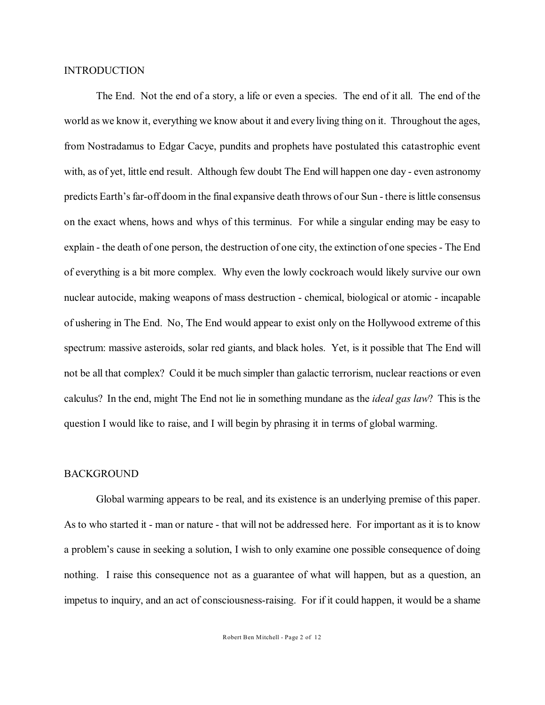## INTRODUCTION

The End. Not the end of a story, a life or even a species. The end of it all. The end of the world as we know it, everything we know about it and every living thing on it. Throughout the ages, from Nostradamus to Edgar Cacye, pundits and prophets have postulated this catastrophic event with, as of yet, little end result. Although few doubt The End will happen one day - even astronomy predicts Earth's far-off doom in the final expansive death throws of our Sun - there is little consensus on the exact whens, hows and whys of this terminus. For while a singular ending may be easy to explain - the death of one person, the destruction of one city, the extinction of one species - The End of everything is a bit more complex. Why even the lowly cockroach would likely survive our own nuclear autocide, making weapons of mass destruction - chemical, biological or atomic - incapable of ushering in The End. No, The End would appear to exist only on the Hollywood extreme of this spectrum: massive asteroids, solar red giants, and black holes. Yet, is it possible that The End will not be all that complex? Could it be much simpler than galactic terrorism, nuclear reactions or even calculus? In the end, might The End not lie in something mundane as the *ideal gas law*? This is the question I would like to raise, and I will begin by phrasing it in terms of global warming.

#### BACKGROUND

Global warming appears to be real, and its existence is an underlying premise of this paper. As to who started it - man or nature - that will not be addressed here. For important as it is to know a problem's cause in seeking a solution, I wish to only examine one possible consequence of doing nothing. I raise this consequence not as a guarantee of what will happen, but as a question, an impetus to inquiry, and an act of consciousness-raising. For if it could happen, it would be a shame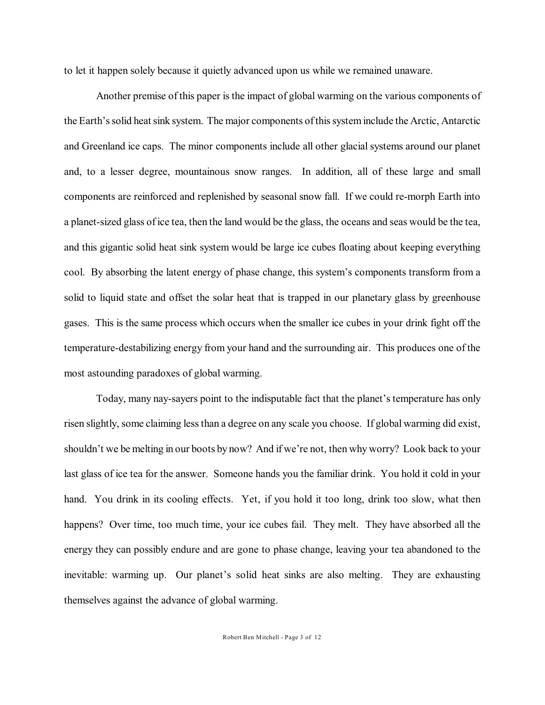to let it happen solely because it quietly advanced upon us while we remained unaware.

Another premise of this paper is the impact of global warming on the various components of the Earth's solid heatsink system. The major components of this system include the Arctic, Antarctic and Greenland ice caps. The minor components include all other glacial systems around our planet and, to a lesser degree, mountainous snow ranges. In addition, all of these large and small components are reinforced and replenished by seasonal snow fall. If we could re-morph Earth into a planet-sized glass of ice tea, then the land would be the glass, the oceans and seas would be the tea, and this gigantic solid heat sink system would be large ice cubes floating about keeping everything cool. By absorbing the latent energy of phase change, this system's components transform from a solid to liquid state and offset the solar heat that is trapped in our planetary glass by greenhouse gases. This is the same process which occurs when the smaller ice cubes in your drink fight off the temperature-destabilizing energy from your hand and the surrounding air. This produces one of the most astounding paradoxes of global warming.

Today, many nay-sayers point to the indisputable fact that the planet's temperature has only risen slightly, some claiming less than a degree on any scale you choose. If global warming did exist, shouldn't we be melting in our boots by now? And if we're not, then why worry? Look back to your last glass of ice tea for the answer. Someone hands you the familiar drink. You hold it cold in your hand. You drink in its cooling effects. Yet, if you hold it too long, drink too slow, what then happens? Over time, too much time, your ice cubes fail. They melt. They have absorbed all the energy they can possibly endure and are gone to phase change, leaving your tea abandoned to the inevitable: warming up. Our planet's solid heat sinks are also melting. They are exhausting themselves against the advance of global warming.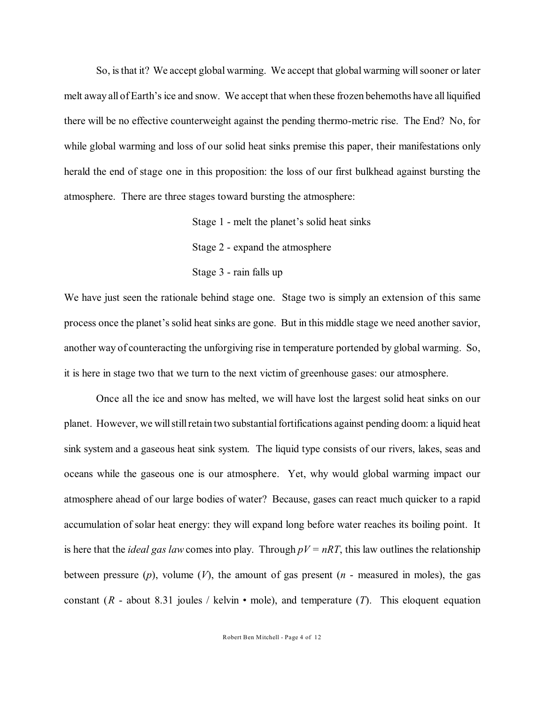So, is that it? We accept global warming. We accept that global warming will sooner or later melt away all of Earth's ice and snow. We accept that when these frozen behemoths have all liquified there will be no effective counterweight against the pending thermo-metric rise. The End? No, for while global warming and loss of our solid heat sinks premise this paper, their manifestations only herald the end of stage one in this proposition: the loss of our first bulkhead against bursting the atmosphere. There are three stages toward bursting the atmosphere:

> Stage 1 - melt the planet's solid heat sinks Stage 2 - expand the atmosphere Stage 3 - rain falls up

We have just seen the rationale behind stage one. Stage two is simply an extension of this same process once the planet's solid heat sinks are gone. But in this middle stage we need another savior, another way of counteracting the unforgiving rise in temperature portended by global warming. So, it is here in stage two that we turn to the next victim of greenhouse gases: our atmosphere.

Once all the ice and snow has melted, we will have lost the largest solid heat sinks on our planet. However, we willstillretain two substantial fortifications against pending doom: a liquid heat sink system and a gaseous heat sink system. The liquid type consists of our rivers, lakes, seas and oceans while the gaseous one is our atmosphere. Yet, why would global warming impact our atmosphere ahead of our large bodies of water? Because, gases can react much quicker to a rapid accumulation of solar heat energy: they will expand long before water reaches its boiling point. It is here that the *ideal gas law* comes into play. Through  $pV = nRT$ , this law outlines the relationship between pressure (*p*), volume (*V*), the amount of gas present (*n* - measured in moles), the gas constant  $(R - about 8.31$  joules / kelvin • mole), and temperature  $(T)$ . This eloquent equation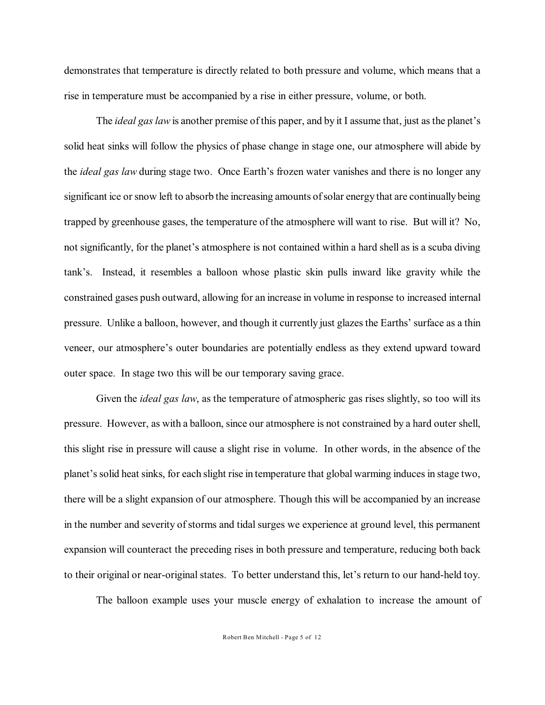demonstrates that temperature is directly related to both pressure and volume, which means that a rise in temperature must be accompanied by a rise in either pressure, volume, or both.

The *ideal gas law* is another premise of this paper, and by it I assume that, just as the planet's solid heat sinks will follow the physics of phase change in stage one, our atmosphere will abide by the *ideal gas law* during stage two. Once Earth's frozen water vanishes and there is no longer any significant ice or snow left to absorb the increasing amounts of solar energy that are continually being trapped by greenhouse gases, the temperature of the atmosphere will want to rise. But will it? No, not significantly, for the planet's atmosphere is not contained within a hard shell as is a scuba diving tank's. Instead, it resembles a balloon whose plastic skin pulls inward like gravity while the constrained gases push outward, allowing for an increase in volume in response to increased internal pressure. Unlike a balloon, however, and though it currently just glazes the Earths' surface as a thin veneer, our atmosphere's outer boundaries are potentially endless as they extend upward toward outer space. In stage two this will be our temporary saving grace.

Given the *ideal gas law*, as the temperature of atmospheric gas rises slightly, so too will its pressure. However, as with a balloon, since our atmosphere is not constrained by a hard outer shell, this slight rise in pressure will cause a slight rise in volume. In other words, in the absence of the planet's solid heat sinks, for each slight rise in temperature that global warming induces in stage two, there will be a slight expansion of our atmosphere. Though this will be accompanied by an increase in the number and severity of storms and tidal surges we experience at ground level, this permanent expansion will counteract the preceding rises in both pressure and temperature, reducing both back to their original or near-original states. To better understand this, let's return to our hand-held toy.

The balloon example uses your muscle energy of exhalation to increase the amount of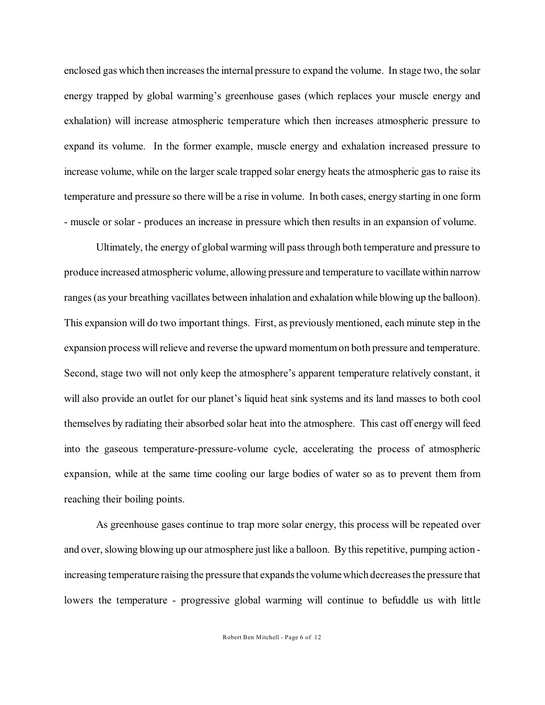enclosed gas which then increasesthe internal pressure to expand the volume. In stage two, the solar energy trapped by global warming's greenhouse gases (which replaces your muscle energy and exhalation) will increase atmospheric temperature which then increases atmospheric pressure to expand its volume. In the former example, muscle energy and exhalation increased pressure to increase volume, while on the larger scale trapped solar energy heats the atmospheric gas to raise its temperature and pressure so there will be a rise in volume. In both cases, energy starting in one form - muscle or solar - produces an increase in pressure which then results in an expansion of volume.

Ultimately, the energy of global warming will pass through both temperature and pressure to produce increased atmospheric volume, allowing pressure and temperature to vacillate within narrow ranges (as your breathing vacillates between inhalation and exhalation while blowing up the balloon). This expansion will do two important things. First, as previously mentioned, each minute step in the expansion process will relieve and reverse the upward momentum on both pressure and temperature. Second, stage two will not only keep the atmosphere's apparent temperature relatively constant, it will also provide an outlet for our planet's liquid heat sink systems and its land masses to both cool themselves by radiating their absorbed solar heat into the atmosphere. This cast off energy will feed into the gaseous temperature-pressure-volume cycle, accelerating the process of atmospheric expansion, while at the same time cooling our large bodies of water so as to prevent them from reaching their boiling points.

As greenhouse gases continue to trap more solar energy, this process will be repeated over and over, slowing blowing up our atmosphere just like a balloon. By thisrepetitive, pumping action increasing temperature raising the pressure that expands the volume which decreases the pressure that lowers the temperature - progressive global warming will continue to befuddle us with little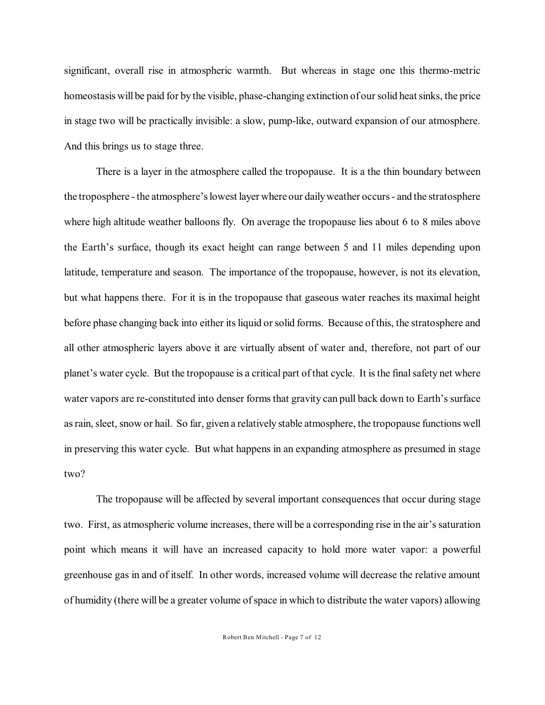significant, overall rise in atmospheric warmth. But whereas in stage one this thermo-metric homeostasis will be paid for by the visible, phase-changing extinction of our solid heat sinks, the price in stage two will be practically invisible: a slow, pump-like, outward expansion of our atmosphere. And this brings us to stage three.

There is a layer in the atmosphere called the tropopause. It is a the thin boundary between the troposphere - the atmosphere's lowest layer where our daily weather occurs - and the stratosphere where high altitude weather balloons fly. On average the tropopause lies about 6 to 8 miles above the Earth's surface, though its exact height can range between 5 and 11 miles depending upon latitude, temperature and season. The importance of the tropopause, however, is not its elevation, but what happens there. For it is in the tropopause that gaseous water reaches its maximal height before phase changing back into either its liquid or solid forms. Because of this, the stratosphere and all other atmospheric layers above it are virtually absent of water and, therefore, not part of our planet's water cycle. But the tropopause is a critical part of that cycle. It is the final safety net where water vapors are re-constituted into denser forms that gravity can pull back down to Earth's surface as rain, sleet, snow or hail. So far, given a relatively stable atmosphere, the tropopause functions well in preserving this water cycle. But what happens in an expanding atmosphere as presumed in stage two?

The tropopause will be affected by several important consequences that occur during stage two. First, as atmospheric volume increases, there will be a corresponding rise in the air's saturation point which means it will have an increased capacity to hold more water vapor: a powerful greenhouse gas in and of itself. In other words, increased volume will decrease the relative amount of humidity (there will be a greater volume of space in which to distribute the water vapors) allowing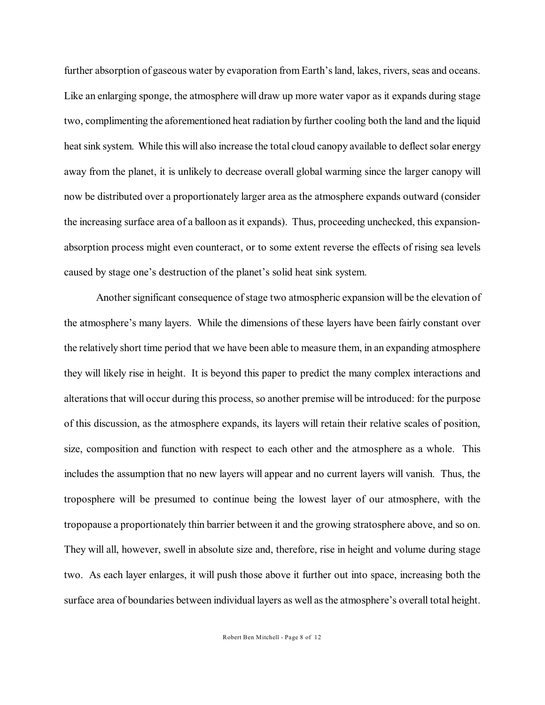further absorption of gaseous water by evaporation from Earth's land, lakes, rivers, seas and oceans. Like an enlarging sponge, the atmosphere will draw up more water vapor as it expands during stage two, complimenting the aforementioned heat radiation by further cooling both the land and the liquid heat sink system. While this will also increase the total cloud canopy available to deflect solar energy away from the planet, it is unlikely to decrease overall global warming since the larger canopy will now be distributed over a proportionately larger area as the atmosphere expands outward (consider the increasing surface area of a balloon asit expands). Thus, proceeding unchecked, this expansionabsorption process might even counteract, or to some extent reverse the effects of rising sea levels caused by stage one's destruction of the planet's solid heat sink system.

Another significant consequence of stage two atmospheric expansion will be the elevation of the atmosphere's many layers. While the dimensions of these layers have been fairly constant over the relatively short time period that we have been able to measure them, in an expanding atmosphere they will likely rise in height. It is beyond this paper to predict the many complex interactions and alterations that will occur during this process, so another premise will be introduced: for the purpose of this discussion, as the atmosphere expands, its layers will retain their relative scales of position, size, composition and function with respect to each other and the atmosphere as a whole. This includes the assumption that no new layers will appear and no current layers will vanish. Thus, the troposphere will be presumed to continue being the lowest layer of our atmosphere, with the tropopause a proportionately thin barrier between it and the growing stratosphere above, and so on. They will all, however, swell in absolute size and, therefore, rise in height and volume during stage two. As each layer enlarges, it will push those above it further out into space, increasing both the surface area of boundaries between individual layers as well asthe atmosphere's overall total height.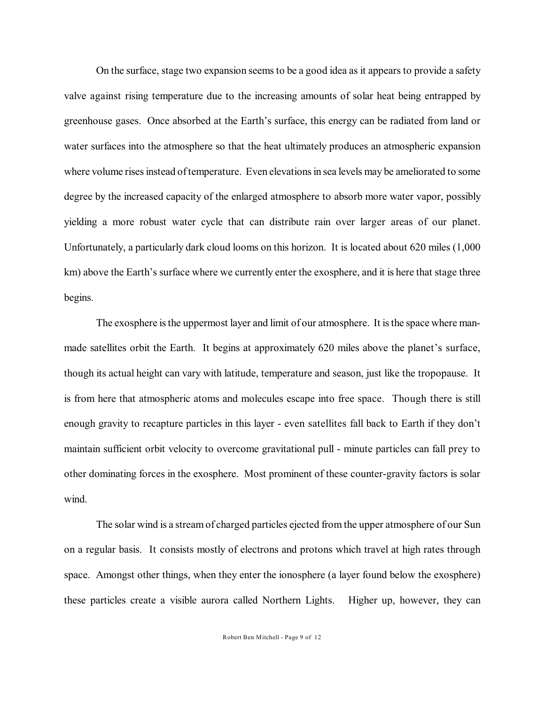On the surface, stage two expansion seems to be a good idea as it appears to provide a safety valve against rising temperature due to the increasing amounts of solar heat being entrapped by greenhouse gases. Once absorbed at the Earth's surface, this energy can be radiated from land or water surfaces into the atmosphere so that the heat ultimately produces an atmospheric expansion where volume rises instead of temperature. Even elevations in sea levels may be ameliorated to some degree by the increased capacity of the enlarged atmosphere to absorb more water vapor, possibly yielding a more robust water cycle that can distribute rain over larger areas of our planet. Unfortunately, a particularly dark cloud looms on this horizon. It is located about 620 miles (1,000 km) above the Earth's surface where we currently enter the exosphere, and it is here that stage three begins.

The exosphere is the uppermost layer and limit of our atmosphere. It is the space where manmade satellites orbit the Earth. It begins at approximately 620 miles above the planet's surface, though its actual height can vary with latitude, temperature and season, just like the tropopause. It is from here that atmospheric atoms and molecules escape into free space. Though there is still enough gravity to recapture particles in this layer - even satellites fall back to Earth if they don't maintain sufficient orbit velocity to overcome gravitational pull - minute particles can fall prey to other dominating forces in the exosphere. Most prominent of these counter-gravity factors is solar wind.

The solar wind is a streamof charged particles ejected from the upper atmosphere of our Sun on a regular basis. It consists mostly of electrons and protons which travel at high rates through space. Amongst other things, when they enter the ionosphere (a layer found below the exosphere) these particles create a visible aurora called Northern Lights. Higher up, however, they can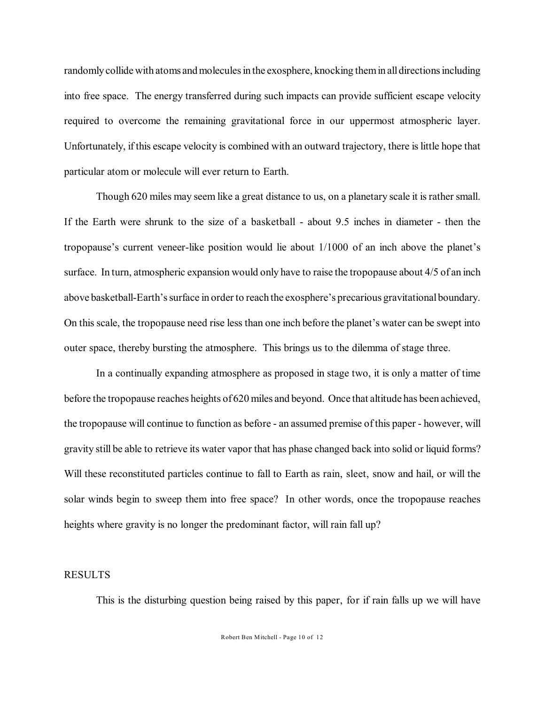randomly collide with atoms andmolecules in the exosphere, knocking them in all directions including into free space. The energy transferred during such impacts can provide sufficient escape velocity required to overcome the remaining gravitational force in our uppermost atmospheric layer. Unfortunately, if this escape velocity is combined with an outward trajectory, there is little hope that particular atom or molecule will ever return to Earth.

Though 620 miles may seem like a great distance to us, on a planetary scale it is rather small. If the Earth were shrunk to the size of a basketball - about 9.5 inches in diameter - then the tropopause's current veneer-like position would lie about 1/1000 of an inch above the planet's surface. In turn, atmospheric expansion would only have to raise the tropopause about 4/5 of an inch above basketball-Earth's surface in order to reach the exosphere's precarious gravitational boundary. On this scale, the tropopause need rise less than one inch before the planet's water can be swept into outer space, thereby bursting the atmosphere. This brings us to the dilemma of stage three.

In a continually expanding atmosphere as proposed in stage two, it is only a matter of time before the tropopause reaches heights of 620 miles and beyond. Once that altitude has been achieved, the tropopause will continue to function as before - an assumed premise of this paper - however, will gravity still be able to retrieve its water vapor that has phase changed back into solid or liquid forms? Will these reconstituted particles continue to fall to Earth as rain, sleet, snow and hail, or will the solar winds begin to sweep them into free space? In other words, once the tropopause reaches heights where gravity is no longer the predominant factor, will rain fall up?

#### RESULTS

This is the disturbing question being raised by this paper, for if rain falls up we will have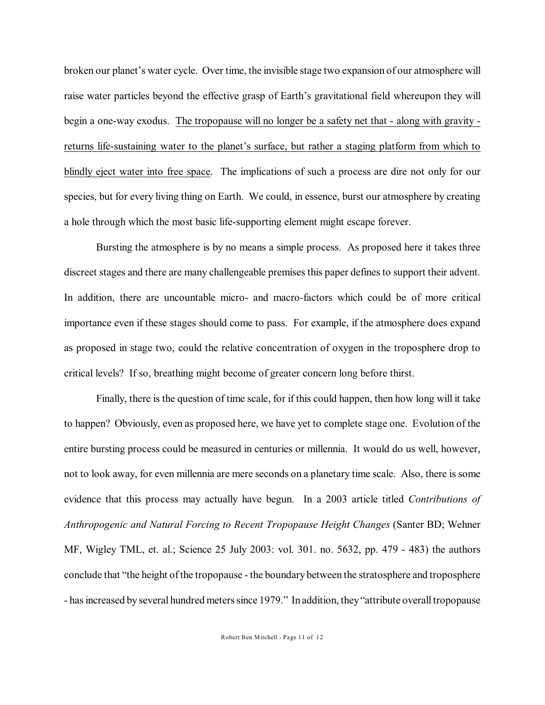broken our planet's water cycle. Over time, the invisible stage two expansion of our atmosphere will raise water particles beyond the effective grasp of Earth's gravitational field whereupon they will begin a one-way exodus. The tropopause will no longer be a safety net that - along with gravity returns life-sustaining water to the planet's surface, but rather a staging platform from which to blindly eject water into free space. The implications of such a process are dire not only for our species, but for every living thing on Earth. We could, in essence, burst our atmosphere by creating a hole through which the most basic life-supporting element might escape forever.

Bursting the atmosphere is by no means a simple process. As proposed here it takes three discreet stages and there are many challengeable premises this paper defines to support their advent. In addition, there are uncountable micro- and macro-factors which could be of more critical importance even if these stages should come to pass. For example, if the atmosphere does expand as proposed in stage two, could the relative concentration of oxygen in the troposphere drop to critical levels? If so, breathing might become of greater concern long before thirst.

Finally, there is the question of time scale, for if this could happen, then how long will it take to happen? Obviously, even as proposed here, we have yet to complete stage one. Evolution of the entire bursting process could be measured in centuries or millennia. It would do us well, however, not to look away, for even millennia are mere seconds on a planetary time scale. Also, there is some evidence that this process may actually have begun. In a 2003 article titled *Contributions of Anthropogenic and Natural Forcing to Recent Tropopause Height Changes* (Santer BD; Wehner MF, Wigley TML, et. al.; Science 25 July 2003: vol. 301. no. 5632, pp. 479 - 483) the authors conclude that "the height of the tropopause - the boundary between the stratosphere and troposphere - has increased by several hundred meters since 1979." In addition, they"attribute overall tropopause